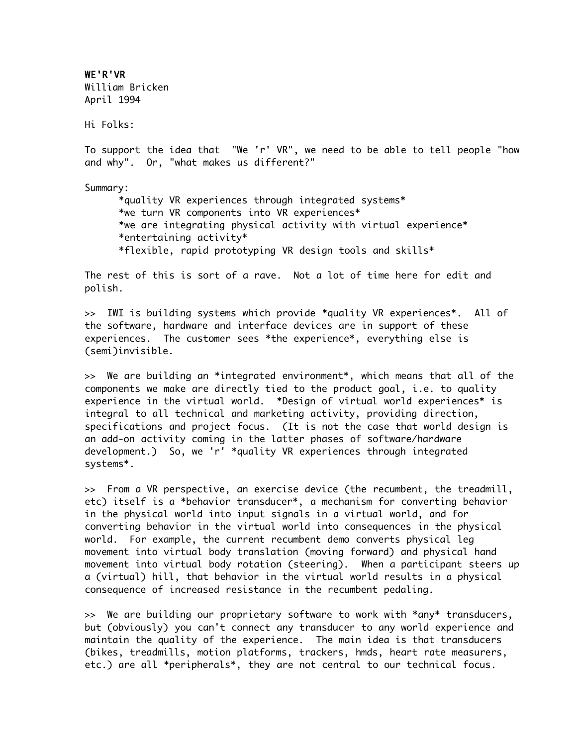WE'R'VR William Bricken April 1994

Hi Folks:

To support the idea that "We 'r' VR", we need to be able to tell people "how and why". Or, "what makes us different?"

Summary:

\*quality VR experiences through integrated systems\* \*we turn VR components into VR experiences\* \*we are integrating physical activity with virtual experience\* \*entertaining activity\* \*flexible, rapid prototyping VR design tools and skills\*

The rest of this is sort of a rave. Not a lot of time here for edit and polish.

>> IWI is building systems which provide \*quality VR experiences\*. All of the software, hardware and interface devices are in support of these experiences. The customer sees \*the experience\*, everything else is (semi)invisible.

>> We are building an \*integrated environment\*, which means that all of the components we make are directly tied to the product goal, i.e. to quality experience in the virtual world. \*Design of virtual world experiences\* is integral to all technical and marketing activity, providing direction, specifications and project focus. (It is not the case that world design is an add-on activity coming in the latter phases of software/hardware development.) So, we 'r' \*quality VR experiences through integrated systems\*.

>> From a VR perspective, an exercise device (the recumbent, the treadmill, etc) itself is a \*behavior transducer\*, a mechanism for converting behavior in the physical world into input signals in a virtual world, and for converting behavior in the virtual world into consequences in the physical world. For example, the current recumbent demo converts physical leg movement into virtual body translation (moving forward) and physical hand movement into virtual body rotation (steering). When a participant steers up a (virtual) hill, that behavior in the virtual world results in a physical consequence of increased resistance in the recumbent pedaling.

>> We are building our proprietary software to work with \*any\* transducers, but (obviously) you can't connect any transducer to any world experience and maintain the quality of the experience. The main idea is that transducers (bikes, treadmills, motion platforms, trackers, hmds, heart rate measurers, etc.) are all \*peripherals\*, they are not central to our technical focus.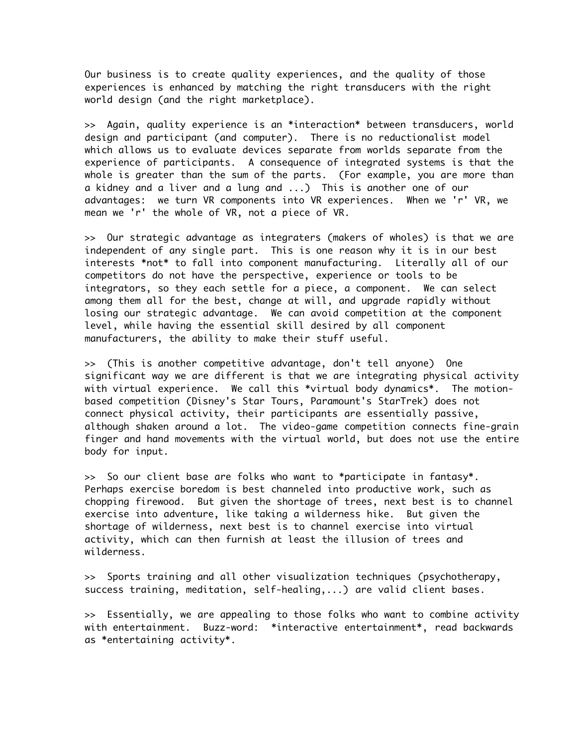Our business is to create quality experiences, and the quality of those experiences is enhanced by matching the right transducers with the right world design (and the right marketplace).

>> Again, quality experience is an \*interaction\* between transducers, world design and participant (and computer). There is no reductionalist model which allows us to evaluate devices separate from worlds separate from the experience of participants. A consequence of integrated systems is that the whole is greater than the sum of the parts. (For example, you are more than a kidney and a liver and a lung and ...) This is another one of our advantages: we turn VR components into VR experiences. When we 'r' VR, we mean we 'r' the whole of VR, not a piece of VR.

>> Our strategic advantage as integraters (makers of wholes) is that we are independent of any single part. This is one reason why it is in our best interests \*not\* to fall into component manufacturing. Literally all of our competitors do not have the perspective, experience or tools to be integrators, so they each settle for a piece, a component. We can select among them all for the best, change at will, and upgrade rapidly without losing our strategic advantage. We can avoid competition at the component level, while having the essential skill desired by all component manufacturers, the ability to make their stuff useful.

>> (This is another competitive advantage, don't tell anyone) One significant way we are different is that we are integrating physical activity with virtual experience. We call this \*virtual body dynamics\*. The motionbased competition (Disney's Star Tours, Paramount's StarTrek) does not connect physical activity, their participants are essentially passive, although shaken around a lot. The video-game competition connects fine-grain finger and hand movements with the virtual world, but does not use the entire body for input.

>> So our client base are folks who want to \*participate in fantasy\*. Perhaps exercise boredom is best channeled into productive work, such as chopping firewood. But given the shortage of trees, next best is to channel exercise into adventure, like taking a wilderness hike. But given the shortage of wilderness, next best is to channel exercise into virtual activity, which can then furnish at least the illusion of trees and wilderness.

>> Sports training and all other visualization techniques (psychotherapy, success training, meditation, self-healing,...) are valid client bases.

>> Essentially, we are appealing to those folks who want to combine activity with entertainment. Buzz-word: \*interactive entertainment\*, read backwards as \*entertaining activity\*.